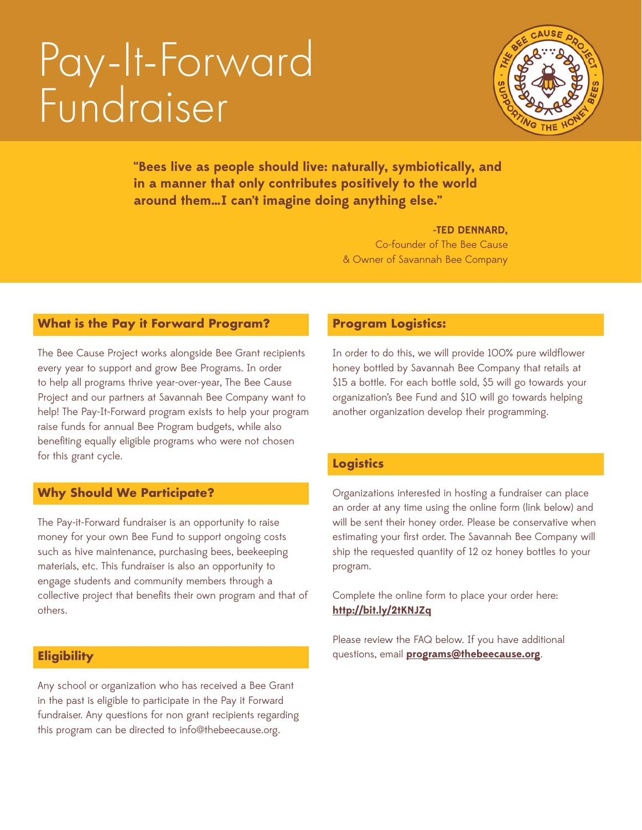# Pay-It-Forward Fundraiser



**"Bees live as people should live: naturally, symbiotically, and in a manner that only contributes positively to the world around them…I can't imagine doing anything else."** 

#### **-TED DENNARD,**

Co-founder of The Bee Cause & Owner of Savannah Bee Company

# **What is the Pay it Forward Program?**

The Bee Cause Project works alongside Bee Grant recipients every year to support and grow Bee Programs. In order to help all programs thrive year-over-year, The Bee Cause Project and our partners at Savannah Bee Company want to help! The Pay-It-Forward program exists to help your program raise funds for annual Bee Program budgets, while also benefting equally eligible programs who were not chosen for this grant cycle.

#### **Why Should We Participate?**

The Pay-it-Forward fundraiser is an opportunity to raise money for your own Bee Fund to support ongoing costs such as hive maintenance, purchasing bees, beekeeping materials, etc. This fundraiser is also an opportunity to engage students and community members through a collective project that benefts their own program and that of others.

#### **Eligibility**

Any school or organization who has received a Bee Grant in the past is eligible to participate in the Pay it Forward fundraiser. Any questions for non grant recipients regarding this program can be directed to info@thebeecause.org.

#### **Program Logistics:**

In order to do this, we will provide 100% pure wildflower honey bottled by Savannah Bee Company that retails at \$15 a bottle. For each bottle sold, \$5 will go towards your organization's Bee Fund and \$10 will go towards helping another organization develop their programming.

#### **Logistics**

Organizations interested in hosting a fundraiser can place an order at any time using the online form (link below) and will be sent their honey order. Please be conservative when estimating your first order. The Savannah Bee Company will ship the requested quantity of 12 oz honey bottles to your program.

Complete the online form to place your order here: **<http://bit.ly/2tKNJZq>**

Please review the FAQ below. If you have additional questions, email **[programs@thebeecause.org](mailto:programs%40thebeecause.org?subject=)**.